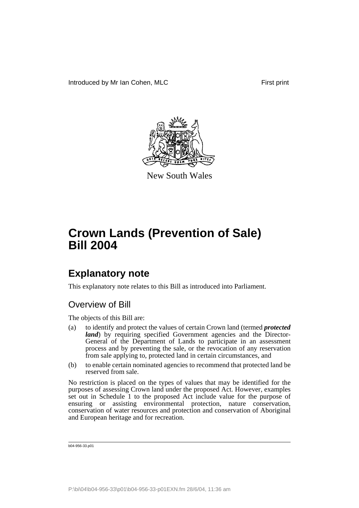

New South Wales

## **Explanatory note**

This explanatory note relates to this Bill as introduced into Parliament.

## Overview of Bill

The objects of this Bill are:

- (a) to identify and protect the values of certain Crown land (termed *protected land*) by requiring specified Government agencies and the Director-General of the Department of Lands to participate in an assessment process and by preventing the sale, or the revocation of any reservation from sale applying to, protected land in certain circumstances, and
- (b) to enable certain nominated agencies to recommend that protected land be reserved from sale.

No restriction is placed on the types of values that may be identified for the purposes of assessing Crown land under the proposed Act. However, examples set out in Schedule 1 to the proposed Act include value for the purpose of ensuring or assisting environmental protection, nature conservation, conservation of water resources and protection and conservation of Aboriginal and European heritage and for recreation.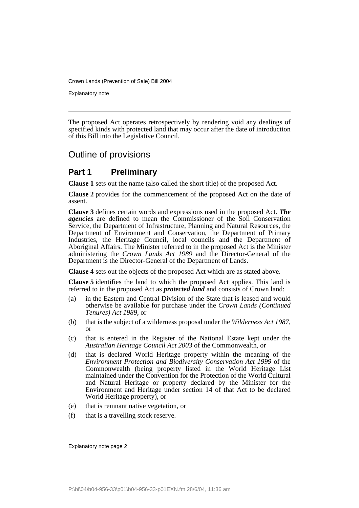Explanatory note

The proposed Act operates retrospectively by rendering void any dealings of specified kinds with protected land that may occur after the date of introduction of this Bill into the Legislative Council.

## Outline of provisions

## **Part 1 Preliminary**

**Clause 1** sets out the name (also called the short title) of the proposed Act.

**Clause 2** provides for the commencement of the proposed Act on the date of assent.

**Clause 3** defines certain words and expressions used in the proposed Act. *The agencies* are defined to mean the Commissioner of the Soil Conservation Service, the Department of Infrastructure, Planning and Natural Resources, the Department of Environment and Conservation, the Department of Primary Industries, the Heritage Council, local councils and the Department of Aboriginal Affairs. The Minister referred to in the proposed Act is the Minister administering the *Crown Lands Act 1989* and the Director-General of the Department is the Director-General of the Department of Lands.

**Clause 4** sets out the objects of the proposed Act which are as stated above.

**Clause 5** identifies the land to which the proposed Act applies. This land is referred to in the proposed Act as *protected land* and consists of Crown land:

- (a) in the Eastern and Central Division of the State that is leased and would otherwise be available for purchase under the *Crown Lands (Continued Tenures) Act 1989*, or
- (b) that is the subject of a wilderness proposal under the *Wilderness Act 1987*, or
- (c) that is entered in the Register of the National Estate kept under the *Australian Heritage Council Act 2003* of the Commonwealth, or
- (d) that is declared World Heritage property within the meaning of the *Environment Protection and Biodiversity Conservation Act 1999* of the Commonwealth (being property listed in the World Heritage List maintained under the Convention for the Protection of the World Cultural and Natural Heritage or property declared by the Minister for the Environment and Heritage under section 14 of that Act to be declared World Heritage property), or
- (e) that is remnant native vegetation, or
- (f) that is a travelling stock reserve.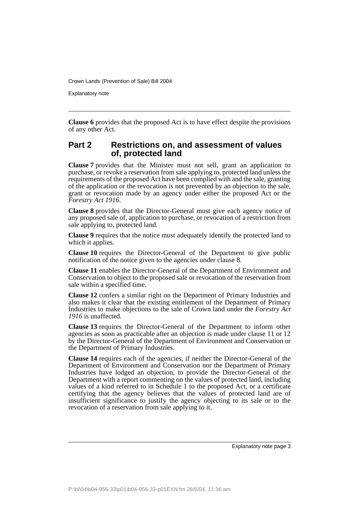Explanatory note

**Clause 6** provides that the proposed Act is to have effect despite the provisions of any other Act.

### **Part 2 Restrictions on, and assessment of values of, protected land**

**Clause 7** provides that the Minister must not sell, grant an application to purchase, or revoke a reservation from sale applying to, protected land unless the requirements of the proposed Act have been complied with and the sale, granting of the application or the revocation is not prevented by an objection to the sale, grant or revocation made by an agency under either the proposed Act or the *Forestry Act 1916*.

**Clause 8** provides that the Director-General must give each agency notice of any proposed sale of, application to purchase, or revocation of a restriction from sale applying to, protected land.

**Clause 9** requires that the notice must adequately identify the protected land to which it applies.

**Clause 10** requires the Director-General of the Department to give public notification of the notice given to the agencies under clause 8.

**Clause 11** enables the Director-General of the Department of Environment and Conservation to object to the proposed sale or revocation of the reservation from sale within a specified time.

**Clause 12** confers a similar right on the Department of Primary Industries and also makes it clear that the existing entitlement of the Department of Primary Industries to make objections to the sale of Crown land under the *Forestry Act 1916* is unaffected.

**Clause 13** requires the Director-General of the Department to inform other agencies as soon as practicable after an objection is made under clause 11 or 12 by the Director-General of the Department of Environment and Conservation or the Department of Primary Industries.

**Clause 14** requires each of the agencies, if neither the Director-General of the Department of Environment and Conservation nor the Department of Primary Industries have lodged an objection, to provide the Director-General of the Department with a report commenting on the values of protected land, including values of a kind referred to in Schedule 1 to the proposed Act, or a certificate certifying that the agency believes that the values of protected land are of insufficient significance to justify the agency objecting to its sale or to the revocation of a reservation from sale applying to it.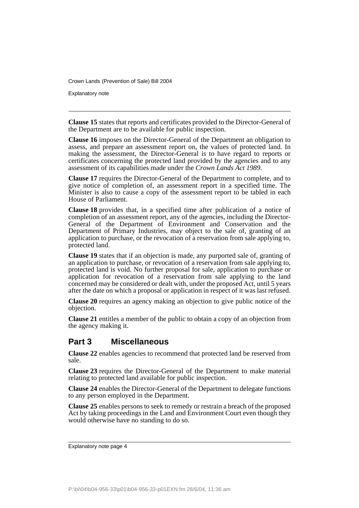Explanatory note

**Clause 15** states that reports and certificates provided to the Director-General of the Department are to be available for public inspection.

**Clause 16** imposes on the Director-General of the Department an obligation to assess, and prepare an assessment report on, the values of protected land. In making the assessment, the Director-General is to have regard to reports or certificates concerning the protected land provided by the agencies and to any assessment of its capabilities made under the *Crown Lands Act 1989*.

**Clause 17** requires the Director-General of the Department to complete, and to give notice of completion of, an assessment report in a specified time. The Minister is also to cause a copy of the assessment report to be tabled in each House of Parliament.

**Clause 18** provides that, in a specified time after publication of a notice of completion of an assessment report, any of the agencies, including the Director-General of the Department of Environment and Conservation and the Department of Primary Industries, may object to the sale of, granting of an application to purchase, or the revocation of a reservation from sale applying to, protected land.

**Clause 19** states that if an objection is made, any purported sale of, granting of an application to purchase, or revocation of a reservation from sale applying to, protected land is void. No further proposal for sale, application to purchase or application for revocation of a reservation from sale applying to the land concerned may be considered or dealt with, under the proposed Act, until 5 years after the date on which a proposal or application in respect of it was last refused.

**Clause 20** requires an agency making an objection to give public notice of the objection.

**Clause 21** entitles a member of the public to obtain a copy of an objection from the agency making it.

### **Part 3 Miscellaneous**

**Clause 22** enables agencies to recommend that protected land be reserved from sale.

**Clause 23** requires the Director-General of the Department to make material relating to protected land available for public inspection.

**Clause 24** enables the Director-General of the Department to delegate functions to any person employed in the Department.

**Clause 25** enables persons to seek to remedy or restrain a breach of the proposed Act by taking proceedings in the Land and Environment Court even though they would otherwise have no standing to do so.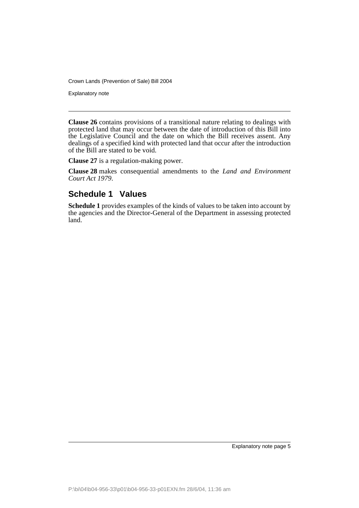Explanatory note

**Clause 26** contains provisions of a transitional nature relating to dealings with protected land that may occur between the date of introduction of this Bill into the Legislative Council and the date on which the Bill receives assent. Any dealings of a specified kind with protected land that occur after the introduction of the Bill are stated to be void.

**Clause 27** is a regulation-making power.

**Clause 28** makes consequential amendments to the *Land and Environment Court Act 1979*.

## **Schedule 1 Values**

**Schedule 1** provides examples of the kinds of values to be taken into account by the agencies and the Director-General of the Department in assessing protected land.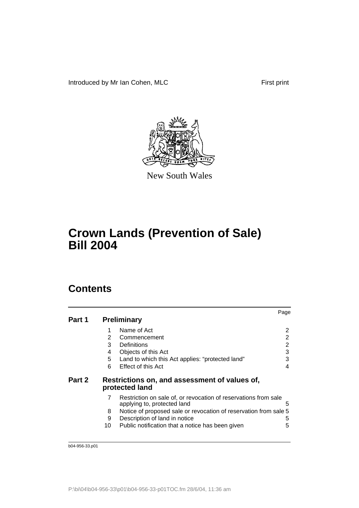Introduced by Mr Ian Cohen, MLC First print



New South Wales

# **Crown Lands (Prevention of Sale) Bill 2004**

## **Contents**

|        |    |                                                                                                | Page |
|--------|----|------------------------------------------------------------------------------------------------|------|
| Part 1 |    | <b>Preliminary</b>                                                                             |      |
|        | 1  | Name of Act                                                                                    | 2    |
|        | 2  | Commencement                                                                                   | 2    |
|        | 3  | Definitions                                                                                    | 2    |
|        | 4  | Objects of this Act                                                                            | 3    |
|        | 5  | Land to which this Act applies: "protected land"                                               | 3    |
|        | 6  | Effect of this Act                                                                             | 4    |
| Part 2 |    | Restrictions on, and assessment of values of,<br>protected land                                |      |
|        | 7  | Restriction on sale of, or revocation of reservations from sale<br>applying to, protected land | 5    |
|        | 8  | Notice of proposed sale or revocation of reservation from sale 5                               |      |
|        | 9  | Description of land in notice                                                                  | 5    |
|        | 10 | Public notification that a notice has been given                                               | 5    |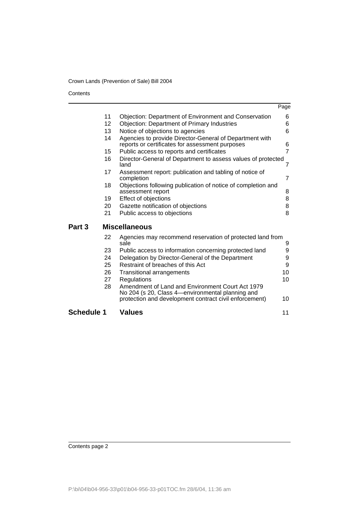**Contents** 

|                   |    |                                                                                                                                                                | Page           |
|-------------------|----|----------------------------------------------------------------------------------------------------------------------------------------------------------------|----------------|
|                   | 11 | <b>Objection: Department of Environment and Conservation</b>                                                                                                   | 6              |
|                   | 12 | <b>Objection: Department of Primary Industries</b>                                                                                                             | 6              |
|                   | 13 | Notice of objections to agencies                                                                                                                               | 6              |
|                   | 14 | Agencies to provide Director-General of Department with<br>reports or certificates for assessment purposes                                                     | 6              |
|                   | 15 | Public access to reports and certificates                                                                                                                      | $\overline{7}$ |
|                   | 16 | Director-General of Department to assess values of protected<br>land                                                                                           | $\overline{7}$ |
|                   | 17 | Assessment report: publication and tabling of notice of<br>completion                                                                                          | $\overline{7}$ |
|                   | 18 | Objections following publication of notice of completion and<br>assessment report                                                                              | 8              |
|                   | 19 | Effect of objections                                                                                                                                           | 8              |
|                   | 20 | Gazette notification of objections                                                                                                                             | 8              |
|                   | 21 | Public access to objections                                                                                                                                    | 8              |
| Part 3            |    | <b>Miscellaneous</b>                                                                                                                                           |                |
|                   | 22 | Agencies may recommend reservation of protected land from<br>sale                                                                                              | 9              |
|                   | 23 | Public access to information concerning protected land                                                                                                         | 9              |
|                   | 24 | Delegation by Director-General of the Department                                                                                                               | 9              |
|                   | 25 | Restraint of breaches of this Act                                                                                                                              | 9              |
|                   | 26 | <b>Transitional arrangements</b>                                                                                                                               | 10             |
|                   | 27 | Regulations                                                                                                                                                    | 10             |
|                   | 28 | Amendment of Land and Environment Court Act 1979<br>No 204 (s 20, Class 4-environmental planning and<br>protection and development contract civil enforcement) | 10             |
|                   |    |                                                                                                                                                                |                |
| <b>Schedule 1</b> |    | Values                                                                                                                                                         | 11             |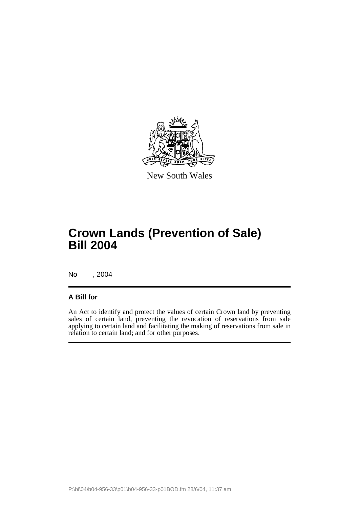

New South Wales

## **Crown Lands (Prevention of Sale) Bill 2004**

No , 2004

### **A Bill for**

An Act to identify and protect the values of certain Crown land by preventing sales of certain land, preventing the revocation of reservations from sale applying to certain land and facilitating the making of reservations from sale in relation to certain land; and for other purposes.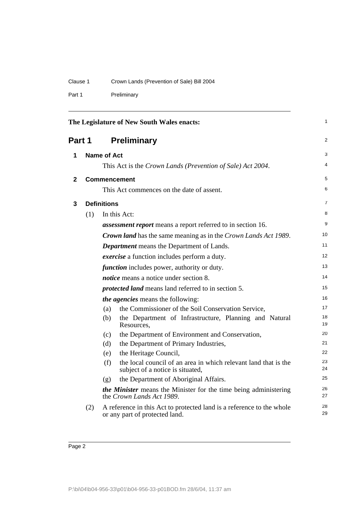| Crown Lands (Prevention of Sale) Bill 2004 |
|--------------------------------------------|
|                                            |

Part 1 Preliminary

<span id="page-9-3"></span><span id="page-9-2"></span><span id="page-9-1"></span><span id="page-9-0"></span>

| The Legislature of New South Wales enacts:<br>Part 1<br><b>Preliminary</b> |     |                                                                                                            | $\mathbf{1}$   |
|----------------------------------------------------------------------------|-----|------------------------------------------------------------------------------------------------------------|----------------|
|                                                                            |     |                                                                                                            | $\overline{2}$ |
| 1                                                                          |     | <b>Name of Act</b>                                                                                         | 3              |
|                                                                            |     | This Act is the Crown Lands (Prevention of Sale) Act 2004.                                                 | $\overline{4}$ |
| $\mathbf{2}$                                                               |     | <b>Commencement</b>                                                                                        | 5              |
|                                                                            |     | This Act commences on the date of assent.                                                                  | 6              |
| 3                                                                          |     | <b>Definitions</b>                                                                                         | $\overline{7}$ |
|                                                                            | (1) | In this Act:                                                                                               | 8              |
|                                                                            |     | <i>assessment report</i> means a report referred to in section 16.                                         | 9              |
|                                                                            |     | <b>Crown land</b> has the same meaning as in the Crown Lands Act 1989.                                     | 10             |
|                                                                            |     | <b>Department</b> means the Department of Lands.                                                           | 11             |
|                                                                            |     | <i>exercise</i> a function includes perform a duty.                                                        | 12             |
|                                                                            |     | <i>function</i> includes power, authority or duty.                                                         | 13             |
|                                                                            |     | <i>notice</i> means a notice under section 8.                                                              | 14             |
|                                                                            |     | <i>protected land</i> means land referred to in section 5.                                                 | 15             |
|                                                                            |     | <i>the agencies</i> means the following:                                                                   | 16             |
|                                                                            |     | the Commissioner of the Soil Conservation Service,<br>(a)                                                  | 17             |
|                                                                            |     | the Department of Infrastructure, Planning and Natural<br>(b)<br>Resources.                                | 18<br>19       |
|                                                                            |     | the Department of Environment and Conservation,<br>(c)                                                     | 20             |
|                                                                            |     | the Department of Primary Industries,<br>(d)                                                               | 21             |
|                                                                            |     | the Heritage Council,<br>(e)                                                                               | 22             |
|                                                                            |     | the local council of an area in which relevant land that is the<br>(f)<br>subject of a notice is situated, | 23<br>24       |
|                                                                            |     | the Department of Aboriginal Affairs.<br>(g)                                                               | 25             |
|                                                                            |     | the Minister means the Minister for the time being administering<br>the Crown Lands Act 1989.              | 26<br>27       |
|                                                                            | (2) | A reference in this Act to protected land is a reference to the whole<br>or any part of protected land.    | 28<br>29       |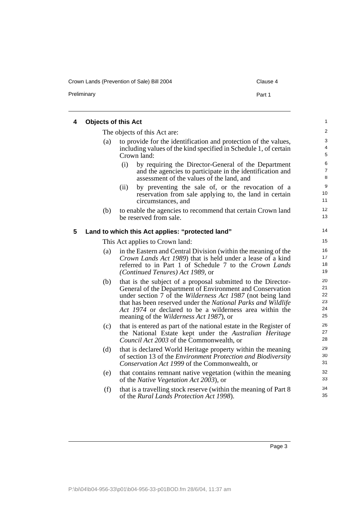Crown Lands (Prevention of Sale) Bill 2004 Clause 4

Preliminary **Part 1** 

<span id="page-10-1"></span><span id="page-10-0"></span>

| 4 | <b>Objects of this Act</b> |                                                                                                                                                                                                                                                                                                                                                                              |
|---|----------------------------|------------------------------------------------------------------------------------------------------------------------------------------------------------------------------------------------------------------------------------------------------------------------------------------------------------------------------------------------------------------------------|
|   |                            | The objects of this Act are:                                                                                                                                                                                                                                                                                                                                                 |
|   | (a)                        | to provide for the identification and protection of the values,<br>including values of the kind specified in Schedule 1, of certain<br>Crown land:                                                                                                                                                                                                                           |
|   |                            | (i)<br>by requiring the Director-General of the Department<br>and the agencies to participate in the identification and<br>assessment of the values of the land, and                                                                                                                                                                                                         |
|   |                            | (ii)<br>by preventing the sale of, or the revocation of a<br>reservation from sale applying to, the land in certain<br>circumstances, and                                                                                                                                                                                                                                    |
|   | (b)                        | to enable the agencies to recommend that certain Crown land<br>be reserved from sale.                                                                                                                                                                                                                                                                                        |
| 5 |                            | Land to which this Act applies: "protected land"                                                                                                                                                                                                                                                                                                                             |
|   |                            | This Act applies to Crown land:                                                                                                                                                                                                                                                                                                                                              |
|   | (a)                        | in the Eastern and Central Division (within the meaning of the<br><i>Crown Lands Act 1989</i> ) that is held under a lease of a kind<br>referred to in Part 1 of Schedule 7 to the Crown Lands<br>(Continued Tenures) Act 1989, or                                                                                                                                           |
|   | (b)                        | that is the subject of a proposal submitted to the Director-<br>General of the Department of Environment and Conservation<br>under section 7 of the <i>Wilderness Act 1987</i> (not being land<br>that has been reserved under the National Parks and Wildlife<br>Act 1974 or declared to be a wilderness area within the<br>meaning of the <i>Wilderness Act 1987</i> ), or |
|   | (c)                        | that is entered as part of the national estate in the Register of<br>the National Estate kept under the Australian Heritage<br>Council Act 2003 of the Commonwealth, or                                                                                                                                                                                                      |
|   | (d)                        | that is declared World Heritage property within the meaning<br>of section 13 of the <i>Environment Protection and Biodiversity</i><br>Conservation Act 1999 of the Commonwealth, or                                                                                                                                                                                          |
|   | (e)                        | that contains remnant native vegetation (within the meaning<br>of the <i>Native Vegetation Act 2003</i> ), or                                                                                                                                                                                                                                                                |
|   | (f)                        | that is a travelling stock reserve (within the meaning of Part 8)<br>of the Rural Lands Protection Act 1998).                                                                                                                                                                                                                                                                |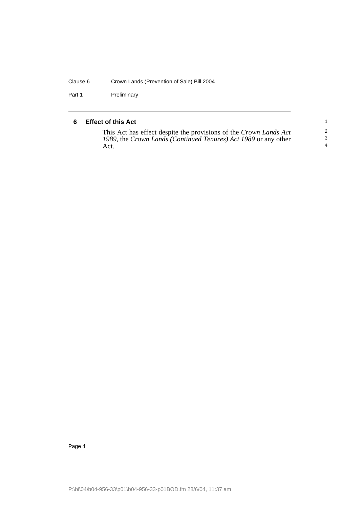#### Clause 6 Crown Lands (Prevention of Sale) Bill 2004

Part 1 Preliminary

#### <span id="page-11-0"></span>**6 Effect of this Act**

This Act has effect despite the provisions of the *Crown Lands Act 1989*, the *Crown Lands (Continued Tenures) Act 1989* or any other Act.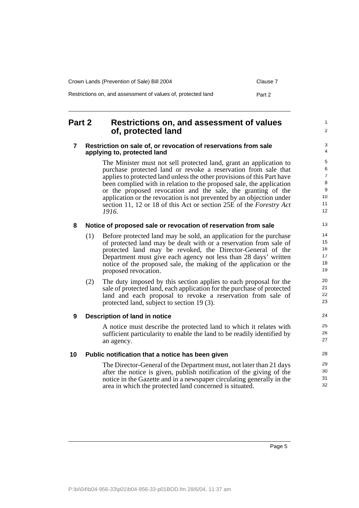| Crown Lands (Prevention of Sale) Bill 2004                   | Clause 7 |
|--------------------------------------------------------------|----------|
| Restrictions on, and assessment of values of, protected land | Part 2   |

### <span id="page-12-0"></span>**Part 2 Restrictions on, and assessment of values of, protected land**

#### <span id="page-12-1"></span>**7 Restriction on sale of, or revocation of reservations from sale applying to, protected land**

The Minister must not sell protected land, grant an application to purchase protected land or revoke a reservation from sale that applies to protected land unless the other provisions of this Part have been complied with in relation to the proposed sale, the application or the proposed revocation and the sale, the granting of the application or the revocation is not prevented by an objection under section 11, 12 or 18 of this Act or section 25E of the *Forestry Act 1916*.

#### <span id="page-12-2"></span>**8 Notice of proposed sale or revocation of reservation from sale**

- (1) Before protected land may be sold, an application for the purchase of protected land may be dealt with or a reservation from sale of protected land may be revoked, the Director-General of the Department must give each agency not less than 28 days' written notice of the proposed sale, the making of the application or the proposed revocation.
- (2) The duty imposed by this section applies to each proposal for the sale of protected land, each application for the purchase of protected land and each proposal to revoke a reservation from sale of protected land, subject to section 19 (3).

#### <span id="page-12-3"></span>**9 Description of land in notice**

A notice must describe the protected land to which it relates with sufficient particularity to enable the land to be readily identified by an agency.

#### <span id="page-12-4"></span>**10 Public notification that a notice has been given**

The Director-General of the Department must, not later than 21 days after the notice is given, publish notification of the giving of the notice in the Gazette and in a newspaper circulating generally in the area in which the protected land concerned is situated.

1  $\overline{2}$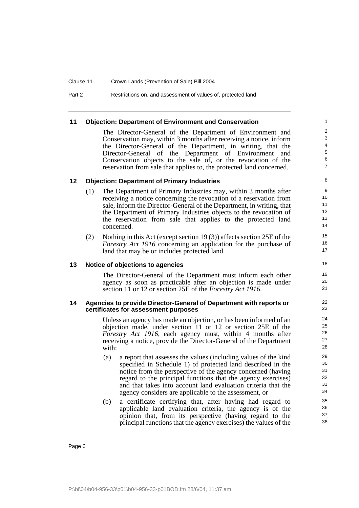Part 2 Restrictions on, and assessment of values of, protected land

#### <span id="page-13-0"></span>**11 Objection: Department of Environment and Conservation**

The Director-General of the Department of Environment and Conservation may, within 3 months after receiving a notice, inform the Director-General of the Department, in writing, that the Director-General of the Department of Environment and Conservation objects to the sale of, or the revocation of the reservation from sale that applies to, the protected land concerned.

#### <span id="page-13-1"></span>**12 Objection: Department of Primary Industries**

- (1) The Department of Primary Industries may, within 3 months after receiving a notice concerning the revocation of a reservation from sale, inform the Director-General of the Department, in writing, that the Department of Primary Industries objects to the revocation of the reservation from sale that applies to the protected land concerned.
- (2) Nothing in this Act (except section 19 (3)) affects section 25E of the *Forestry Act 1916* concerning an application for the purchase of land that may be or includes protected land.

#### <span id="page-13-2"></span>**13 Notice of objections to agencies**

The Director-General of the Department must inform each other agency as soon as practicable after an objection is made under section 11 or 12 or section 25E of the *Forestry Act 1916*.

#### <span id="page-13-3"></span>**14 Agencies to provide Director-General of Department with reports or certificates for assessment purposes**

Unless an agency has made an objection, or has been informed of an objection made, under section 11 or 12 or section 25E of the *Forestry Act 1916*, each agency must, within 4 months after receiving a notice, provide the Director-General of the Department with:

- (a) a report that assesses the values (including values of the kind specified in Schedule 1) of protected land described in the notice from the perspective of the agency concerned (having regard to the principal functions that the agency exercises) and that takes into account land evaluation criteria that the agency considers are applicable to the assessment, or
- (b) a certificate certifying that, after having had regard to applicable land evaluation criteria, the agency is of the opinion that, from its perspective (having regard to the principal functions that the agency exercises) the values of the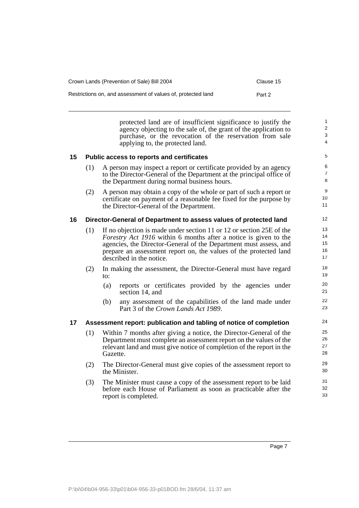| Crown Lands (Prevention of Sale) Bill 2004                   | Clause 15 |
|--------------------------------------------------------------|-----------|
| Restrictions on, and assessment of values of, protected land | Part 2    |

protected land are of insufficient significance to justify the agency objecting to the sale of, the grant of the application to purchase, or the revocation of the reservation from sale applying to, the protected land.

#### <span id="page-14-0"></span>**15 Public access to reports and certificates**

- (1) A person may inspect a report or certificate provided by an agency to the Director-General of the Department at the principal office of the Department during normal business hours.
- (2) A person may obtain a copy of the whole or part of such a report or certificate on payment of a reasonable fee fixed for the purpose by the Director-General of the Department.

#### <span id="page-14-1"></span>**16 Director-General of Department to assess values of protected land**

- (1) If no objection is made under section 11 or 12 or section 25E of the *Forestry Act 1916* within 6 months after a notice is given to the agencies, the Director-General of the Department must assess, and prepare an assessment report on, the values of the protected land described in the notice.
- (2) In making the assessment, the Director-General must have regard to:
	- (a) reports or certificates provided by the agencies under section 14, and
	- (b) any assessment of the capabilities of the land made under Part 3 of the *Crown Lands Act 1989*.

#### <span id="page-14-2"></span>**17 Assessment report: publication and tabling of notice of completion**

- (1) Within 7 months after giving a notice, the Director-General of the Department must complete an assessment report on the values of the relevant land and must give notice of completion of the report in the Gazette.
- (2) The Director-General must give copies of the assessment report to the Minister.
- (3) The Minister must cause a copy of the assessment report to be laid before each House of Parliament as soon as practicable after the report is completed.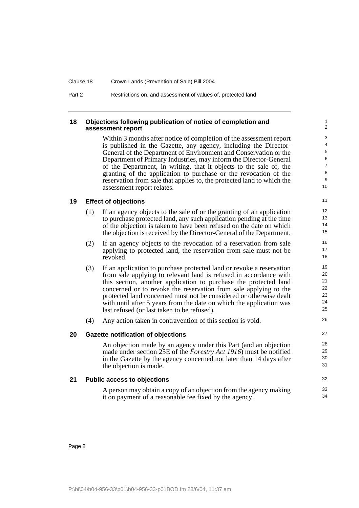| Clause 18 | Crown Lands (Prevention of Sale) Bill 2004                   |
|-----------|--------------------------------------------------------------|
| Part 2    | Restrictions on, and assessment of values of, protected land |

#### <span id="page-15-0"></span>**18 Objections following publication of notice of completion and assessment report**

Within 3 months after notice of completion of the assessment report is published in the Gazette, any agency, including the Director-General of the Department of Environment and Conservation or the Department of Primary Industries, may inform the Director-General of the Department, in writing, that it objects to the sale of, the granting of the application to purchase or the revocation of the reservation from sale that applies to, the protected land to which the assessment report relates.

32 33 34

#### <span id="page-15-1"></span>**19 Effect of objections**

- (1) If an agency objects to the sale of or the granting of an application to purchase protected land, any such application pending at the time of the objection is taken to have been refused on the date on which the objection is received by the Director-General of the Department.
- (2) If an agency objects to the revocation of a reservation from sale applying to protected land, the reservation from sale must not be revoked.
- (3) If an application to purchase protected land or revoke a reservation from sale applying to relevant land is refused in accordance with this section, another application to purchase the protected land concerned or to revoke the reservation from sale applying to the protected land concerned must not be considered or otherwise dealt with until after 5 years from the date on which the application was last refused (or last taken to be refused).
- (4) Any action taken in contravention of this section is void.

#### <span id="page-15-2"></span>**20 Gazette notification of objections**

An objection made by an agency under this Part (and an objection made under section 25E of the *Forestry Act 1916*) must be notified in the Gazette by the agency concerned not later than 14 days after the objection is made.

#### <span id="page-15-3"></span>**21 Public access to objections**

A person may obtain a copy of an objection from the agency making it on payment of a reasonable fee fixed by the agency.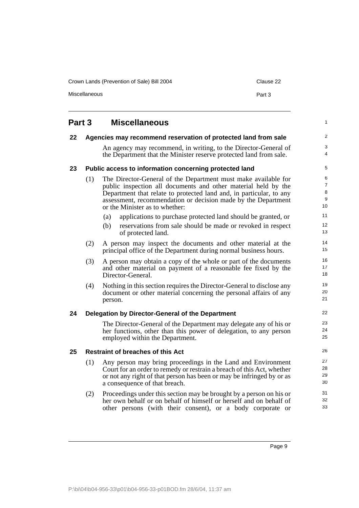Crown Lands (Prevention of Sale) Bill 2004 Clause 22

Miscellaneous **Part 3** 

<span id="page-16-2"></span><span id="page-16-1"></span><span id="page-16-0"></span>

| Part 3 |     | <b>Miscellaneous</b>                                                                                                                                                                                                                                                                                       | $\mathbf{1}$                        |  |
|--------|-----|------------------------------------------------------------------------------------------------------------------------------------------------------------------------------------------------------------------------------------------------------------------------------------------------------------|-------------------------------------|--|
| 22     |     | Agencies may recommend reservation of protected land from sale                                                                                                                                                                                                                                             | 2                                   |  |
|        |     | An agency may recommend, in writing, to the Director-General of<br>the Department that the Minister reserve protected land from sale.                                                                                                                                                                      | 3<br>$\overline{4}$                 |  |
| 23     |     | Public access to information concerning protected land                                                                                                                                                                                                                                                     | 5                                   |  |
|        | (1) | The Director-General of the Department must make available for<br>public inspection all documents and other material held by the<br>Department that relate to protected land and, in particular, to any<br>assessment, recommendation or decision made by the Department<br>or the Minister as to whether: | 6<br>$\overline{7}$<br>8<br>9<br>10 |  |
|        |     | (a)<br>applications to purchase protected land should be granted, or                                                                                                                                                                                                                                       | 11                                  |  |
|        |     | (b)<br>reservations from sale should be made or revoked in respect<br>of protected land.                                                                                                                                                                                                                   | 12<br>13                            |  |
|        | (2) | A person may inspect the documents and other material at the<br>principal office of the Department during normal business hours.                                                                                                                                                                           | 14<br>15                            |  |
|        | (3) | A person may obtain a copy of the whole or part of the documents<br>and other material on payment of a reasonable fee fixed by the<br>Director-General.                                                                                                                                                    | 16<br>17<br>18                      |  |
|        | (4) | Nothing in this section requires the Director-General to disclose any<br>document or other material concerning the personal affairs of any<br>person.                                                                                                                                                      | 19<br>20<br>21                      |  |
| 24     |     | Delegation by Director-General of the Department                                                                                                                                                                                                                                                           | 22                                  |  |
|        |     | The Director-General of the Department may delegate any of his or<br>her functions, other than this power of delegation, to any person<br>employed within the Department.                                                                                                                                  | 23<br>24<br>25                      |  |
| 25     |     | <b>Restraint of breaches of this Act</b>                                                                                                                                                                                                                                                                   |                                     |  |
|        | (1) | Any person may bring proceedings in the Land and Environment<br>Court for an order to remedy or restrain a breach of this Act, whether<br>or not any right of that person has been or may be infringed by or as<br>a consequence of that breach.                                                           | 27<br>28<br>29<br>30                |  |
|        | (2) | Proceedings under this section may be brought by a person on his or<br>her own behalf or on behalf of himself or herself and on behalf of                                                                                                                                                                  | 31<br>32                            |  |

<span id="page-16-4"></span><span id="page-16-3"></span>other persons (with their consent), or a body corporate or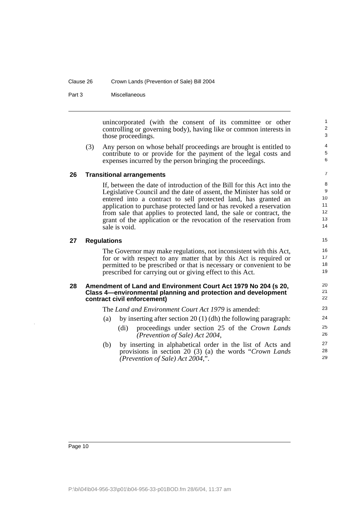Part 3 Miscellaneous

unincorporated (with the consent of its committee or other controlling or governing body), having like or common interests in those proceedings.

(3) Any person on whose behalf proceedings are brought is entitled to contribute to or provide for the payment of the legal costs and expenses incurred by the person bringing the proceedings.

#### <span id="page-17-0"></span>**26 Transitional arrangements**

If, between the date of introduction of the Bill for this Act into the Legislative Council and the date of assent, the Minister has sold or entered into a contract to sell protected land, has granted an application to purchase protected land or has revoked a reservation from sale that applies to protected land, the sale or contract, the grant of the application or the revocation of the reservation from sale is void.

#### <span id="page-17-1"></span>**27 Regulations**

The Governor may make regulations, not inconsistent with this Act, for or with respect to any matter that by this Act is required or permitted to be prescribed or that is necessary or convenient to be prescribed for carrying out or giving effect to this Act.

#### <span id="page-17-2"></span>**28 Amendment of Land and Environment Court Act 1979 No 204 (s 20, Class 4—environmental planning and protection and development contract civil enforcement)**

The *Land and Environment Court Act 1979* is amended:

- (a) by inserting after section 20 (1) (dh) the following paragraph:
	- (di) proceedings under section 25 of the *Crown Lands (Prevention of Sale) Act 2004*,
- (b) by inserting in alphabetical order in the list of Acts and provisions in section 20 (3) (a) the words "*Crown Lands (Prevention of Sale) Act 2004*,".